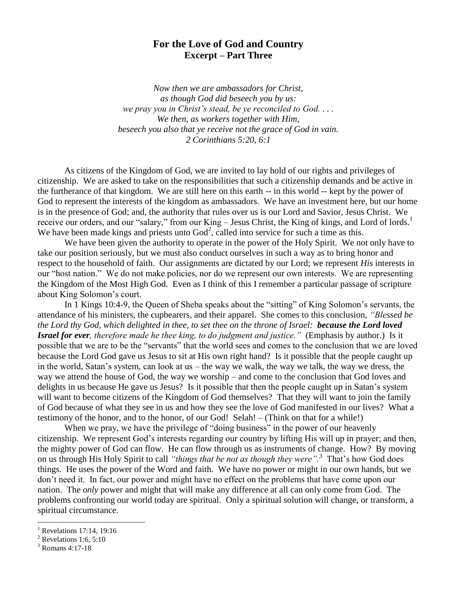## **For the Love of God and Country Excerpt – Part Three**

*Now then we are ambassadors for Christ, as though God did beseech you by us: we pray you in Christ's stead, be ye reconciled to God. . . . We then, as workers together with Him, beseech you also that ye receive not the grace of God in vain. 2 Corinthians 5:20, 6:1*

As citizens of the Kingdom of God, we are invited to lay hold of our rights and privileges of citizenship. We are asked to take on the responsibilities that such a citizenship demands and be active in the furtherance of that kingdom. We are still here on this earth -- in this world -- kept by the power of God to represent the interests of the kingdom as ambassadors. We have an investment here, but our home is in the presence of God; and, the authority that rules over us is our Lord and Savior, Jesus Christ. We receive our orders, and our "salary," from our King – Jesus Christ, the King of kings, and Lord of lords.<sup>1</sup> We have been made kings and priests unto  $God<sup>2</sup>$ , called into service for such a time as this.

We have been given the authority to operate in the power of the Holy Spirit. We not only have to take our position seriously, but we must also conduct ourselves in such a way as to bring honor and respect to the household of faith. Our assignments are dictated by our Lord; we represent *His* interests in our "host nation." We do not make policies, nor do we represent our own interests. We are representing the Kingdom of the Most High God. Even as I think of this I remember a particular passage of scripture about King Solomon's court.

In 1 Kings 10:4-9, the Queen of Sheba speaks about the "sitting" of King Solomon's servants, the attendance of his ministers, the cupbearers, and their apparel. She comes to this conclusion, *"Blessed be the Lord thy God, which delighted in thee, to set thee on the throne of Israel: because the Lord loved Israel for ever, therefore made he thee king, to do judgment and justice."* (Emphasis by author.) Is it possible that we are to be the "servants" that the world sees and comes to the conclusion that we are loved because the Lord God gave us Jesus to sit at His own right hand? Is it possible that the people caught up in the world, Satan's system, can look at us – the way we walk, the way we talk, the way we dress, the way we attend the house of God, the way we worship – and come to the conclusion that God loves and delights in us because He gave us Jesus? Is it possible that then the people caught up in Satan's system will want to become citizens of the Kingdom of God themselves? That they will want to join the family of God because of what they see in us and how they see the love of God manifested in our lives? What a testimony of the honor, and to the honor, of our God! Selah! – (Think on that for a while!)

When we pray, we have the privilege of "doing business" in the power of our heavenly citizenship. We represent God's interests regarding our country by lifting His will up in prayer; and then, the mighty power of God can flow. He can flow through us as instruments of change. How? By moving on us through His Holy Spirit to call *"things that be not as though they were".<sup>3</sup>* That's how God does things. He uses the power of the Word and faith. We have no power or might in our own hands, but we don't need it. In fact, our power and might have no effect on the problems that have come upon our nation. The *only* power and might that will make any difference at all can only come from God. The problems confronting our world today are spiritual. Only a spiritual solution will change, or transform, a spiritual circumstance.

 $\overline{a}$ 

Revelations 17:14, 19:16

Revelations 1:6,  $5:10$ 

<sup>3</sup> Romans 4:17-18